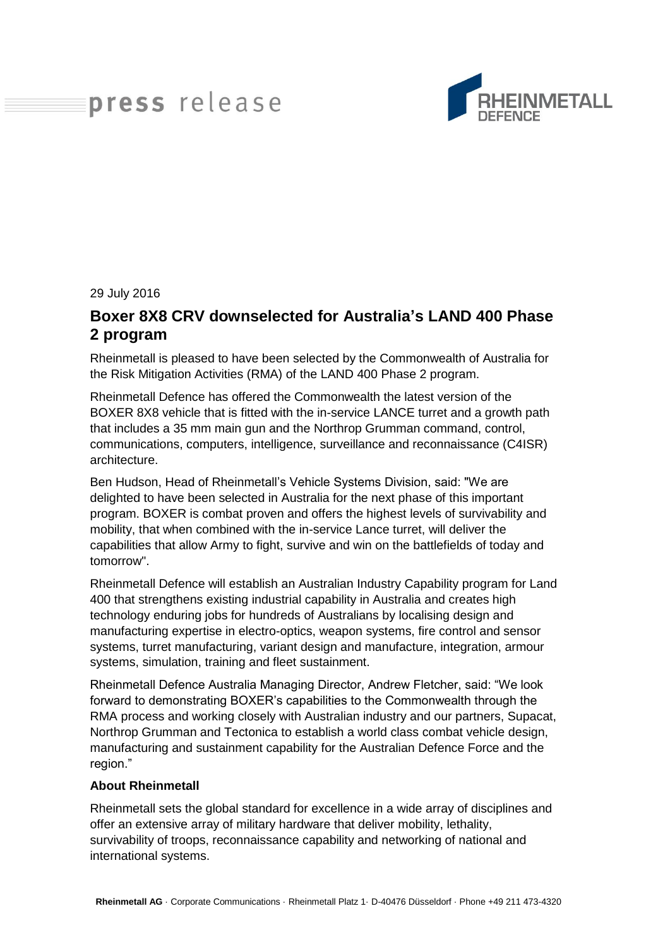# press release



#### 29 July 2016

## **Boxer 8X8 CRV downselected for Australia's LAND 400 Phase 2 program**

Rheinmetall is pleased to have been selected by the Commonwealth of Australia for the Risk Mitigation Activities (RMA) of the LAND 400 Phase 2 program.

Rheinmetall Defence has offered the Commonwealth the latest version of the BOXER 8X8 vehicle that is fitted with the in-service LANCE turret and a growth path that includes a 35 mm main gun and the Northrop Grumman command, control, communications, computers, intelligence, surveillance and reconnaissance (C4ISR) architecture.

Ben Hudson, Head of Rheinmetall's Vehicle Systems Division, said: "We are delighted to have been selected in Australia for the next phase of this important program. BOXER is combat proven and offers the highest levels of survivability and mobility, that when combined with the in-service Lance turret, will deliver the capabilities that allow Army to fight, survive and win on the battlefields of today and tomorrow".

Rheinmetall Defence will establish an Australian Industry Capability program for Land 400 that strengthens existing industrial capability in Australia and creates high technology enduring jobs for hundreds of Australians by localising design and manufacturing expertise in electro-optics, weapon systems, fire control and sensor systems, turret manufacturing, variant design and manufacture, integration, armour systems, simulation, training and fleet sustainment.

Rheinmetall Defence Australia Managing Director, Andrew Fletcher, said: "We look forward to demonstrating BOXER's capabilities to the Commonwealth through the RMA process and working closely with Australian industry and our partners, Supacat, Northrop Grumman and Tectonica to establish a world class combat vehicle design, manufacturing and sustainment capability for the Australian Defence Force and the region."

### **About Rheinmetall**

Rheinmetall sets the global standard for excellence in a wide array of disciplines and offer an extensive array of military hardware that deliver mobility, lethality, survivability of troops, reconnaissance capability and networking of national and international systems.